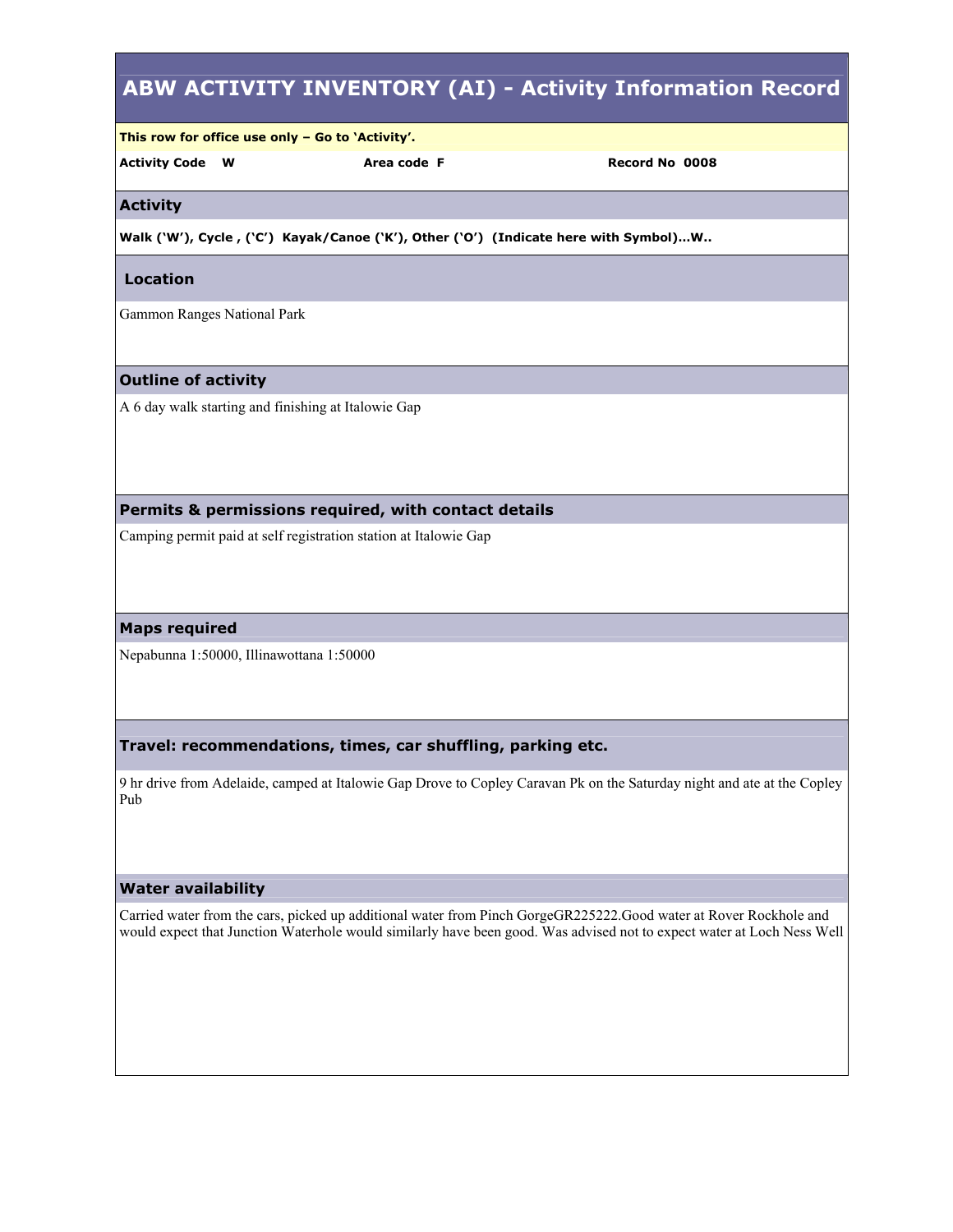# **ABW ACTIVITY INVENTORY (AI) - Activity Information Record This row for office use only – Go to 'Activity'. Activity Code W Area code F Record No 0008 Activity**  Walk ('W'), Cycle, ('C') Kayak/Canoe ('K'), Other ('O') (Indicate here with Symbol)...W..  **Location**  Gammon Ranges National Park **Outline of activity**  A 6 day walk starting and finishing at Italowie Gap **Permits & permissions required, with contact details**  Camping permit paid at self registration station at Italowie Gap **Maps required**  Nepabunna 1:50000, Illinawottana 1:50000 **Travel: recommendations, times, car shuffling, parking etc.**  9 hr drive from Adelaide, camped at Italowie Gap Drove to Copley Caravan Pk on the Saturday night and ate at the Copley Pub **Water availability**  Carried water from the cars, picked up additional water from Pinch GorgeGR225222.Good water at Rover Rockhole and would expect that Junction Waterhole would similarly have been good. Was advised not to expect water at Loch Ness Well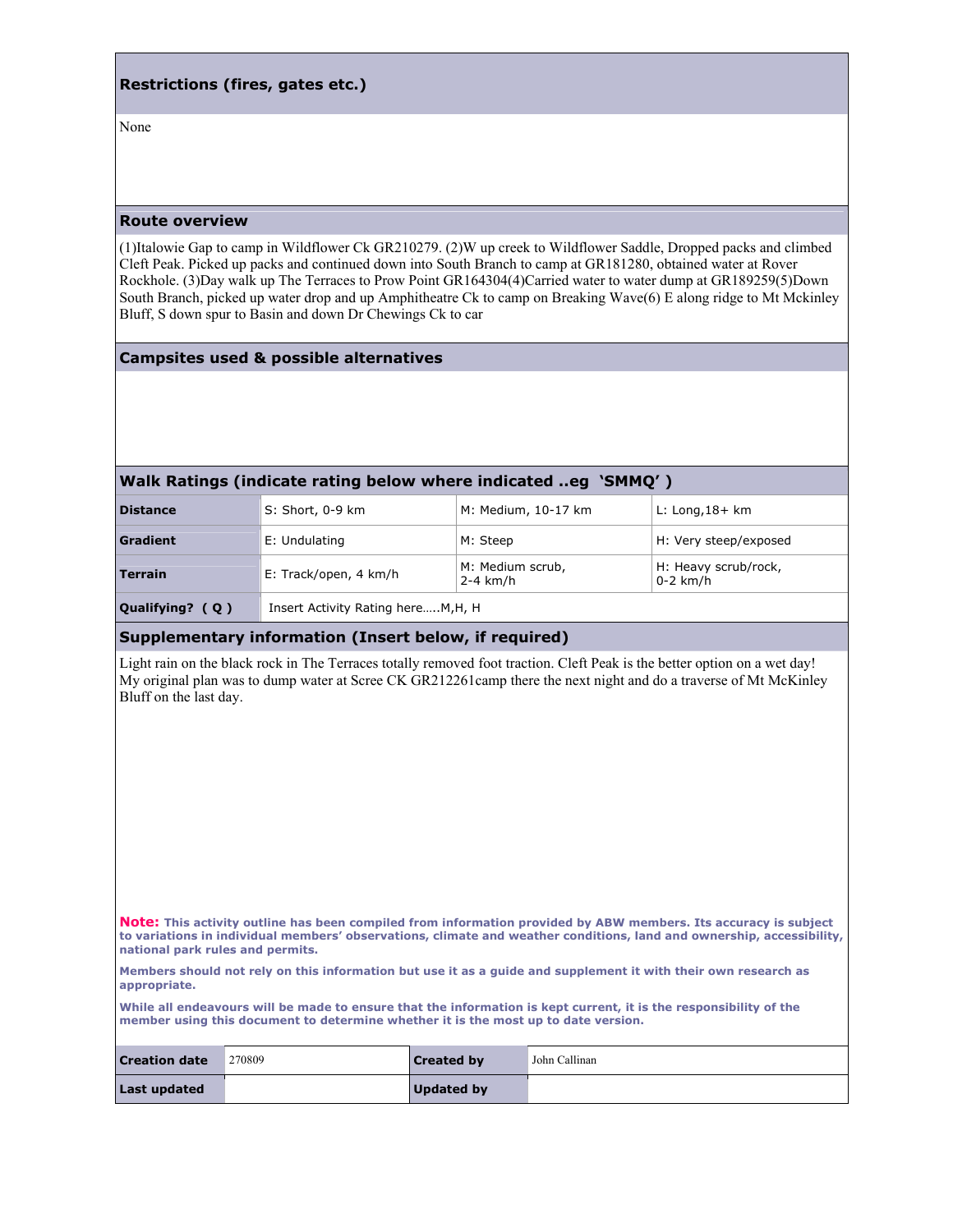## **Restrictions (fires, gates etc.)**

None

#### **Route overview**

(1)Italowie Gap to camp in Wildflower Ck GR210279. (2)W up creek to Wildflower Saddle, Dropped packs and climbed Cleft Peak. Picked up packs and continued down into South Branch to camp at GR181280, obtained water at Rover Rockhole. (3)Day walk up The Terraces to Prow Point GR164304(4)Carried water to water dump at GR189259(5)Down South Branch, picked up water drop and up Amphitheatre Ck to camp on Breaking Wave(6) E along ridge to Mt Mckinley Bluff, S down spur to Basin and down Dr Chewings Ck to car

#### **Campsites used & possible alternatives**

### **Walk Ratings (indicate rating below where indicated ..eg 'SMMQ' )**

| <b>Distance</b> | S: Short, 0-9 km      | M: Medium, 10-17 km            | $L:$ Long, $18+$ km                |
|-----------------|-----------------------|--------------------------------|------------------------------------|
| Gradient        | E: Undulating         | M: Steep                       | H: Very steep/exposed              |
| Terrain         | E: Track/open, 4 km/h | M: Medium scrub,<br>$2-4$ km/h | H: Heavy scrub/rock,<br>$0-2$ km/h |
|                 |                       |                                |                                    |

**Qualifying? ( Q )** Insert Activity Rating here…..M,H, H

## **Supplementary information (Insert below, if required)**

Light rain on the black rock in The Terraces totally removed foot traction. Cleft Peak is the better option on a wet day! My original plan was to dump water at Scree CK GR212261camp there the next night and do a traverse of Mt McKinley Bluff on the last day.

**Note: This activity outline has been compiled from information provided by ABW members. Its accuracy is subject to variations in individual members' observations, climate and weather conditions, land and ownership, accessibility, national park rules and permits.** 

**Members should not rely on this information but use it as a guide and supplement it with their own research as appropriate.** 

**While all endeavours will be made to ensure that the information is kept current, it is the responsibility of the member using this document to determine whether it is the most up to date version.** 

| <b>Creation date</b> | 270809 | <b>Created by</b> | <sup>1</sup> John Callinan |
|----------------------|--------|-------------------|----------------------------|
| Last updated         |        | <b>Updated by</b> |                            |